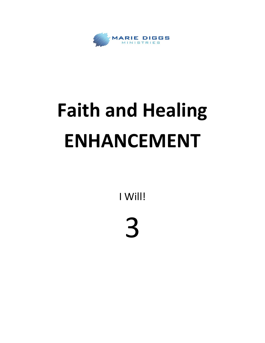

## **Faith and Healing ENHANCEMENT**

I Will!

## 3